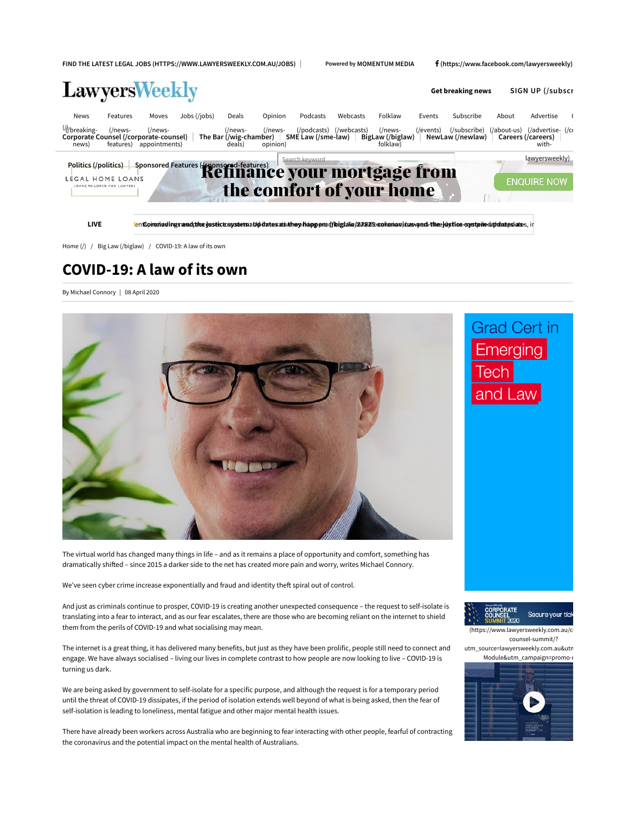FIND THE LATEST LEGAL JOBS (HTTPS://WWW.LAWYERSWEEKLY.COM.AU/JOBS) | Powered by MOMENTUM MEDIA f(https://www.facebook.com/lawyersweekly)

| <b>LawyersWeekly</b>                                                                                                                           |                                             |              | <b>Get breaking news</b>                            |                    |                | SIGN UP (/subscr |                                                                                                                                                                                          |        |           |       |                                      |  |
|------------------------------------------------------------------------------------------------------------------------------------------------|---------------------------------------------|--------------|-----------------------------------------------------|--------------------|----------------|------------------|------------------------------------------------------------------------------------------------------------------------------------------------------------------------------------------|--------|-----------|-------|--------------------------------------|--|
| News<br>Features<br>///breaking-<br>Corporate Counsel (/corporate-counsel)<br>news)                                                            | Moves<br>(/news-<br>features) appointments) | Jobs (/jobs) | Deals<br>(/news-<br>The Bar (/wig-chamber)<br>deals | Opinion<br>(/news- | Podcasts       | Webcasts         | Folklaw<br>rs- (/podcasts) (/webcasts) (/news- (/events) (/subscribe) (/about-us) (/advertise- (/cɾ<br>│ SME Law (/sme-law) │ BigLaw (/biglaw) │ NewLaw (/newlaw) │ Careers (/careers) │ | Events | Subscribe | About | Advertise<br>with-                   |  |
| Politics (/politics) Sponsored Features (pponsored-features)<br>Refinance your mortgage from<br>LEGAL HOME LOANS<br>LOANS TAILORED FOR LAWYERS |                                             |              |                                                     |                    | Search keyword |                  | the comfort of your home                                                                                                                                                                 |        |           |       | lawyersweekly)<br><b>ENQUIRE NOW</b> |  |
| <b>LIVE</b>                                                                                                                                    |                                             |              |                                                     |                    |                |                  | lentSononladingsrandphozeustictosystetnaUpdatesatsAthey happena (fluiglaTu/27825:cononaujtusvand-theejustice-cystein-dubdateslates, in                                                   |        |           |       |                                      |  |

Home (/) / Big Law (/biglaw) / COVID-19: A law of its own

# COVID-19: A law of its own

By Michael Connory | 08 April 2020



**Grad Cert in** Emerging lech and Law

The virtual world has changed many things in life – and as it remains a place of opportunity and comfort, something has dramatically shifted – since 2015 a darker side to the net has created more pain and worry, writes Michael Connory.

We've seen cyber crime increase exponentially and fraud and identity theft spiral out of control.

And just as criminals continue to prosper, COVID-19 is creating another unexpected consequence – the request to self-isolate is translating into a fear to interact, and as our fear escalates, there are those who are becoming reliant on the internet to shield them from the perils of COVID-19 and what socialising may mean.

The internet is a great thing, it has delivered many benefits, but just as they have been prolific, people still need to connect and engage. We have always socialised – living our lives in complete contrast to how people are now looking to live – COVID-19 is turning us dark.

We are being asked by government to self-isolate for a specific purpose, and although the request is for a temporary period until the threat of COVID-19 dissipates, if the period of isolation extends well beyond of what is being asked, then the fear of self-isolation is leading to loneliness, mental fatigue and other major mental health issues.

There have already been workers across Australia who are beginning to fear interacting with other people, fearful of contracting the coronavirus and the potential impact on the mental health of Australians.



(https://www.lawyersweekly.com.au/c counsel-summit/?



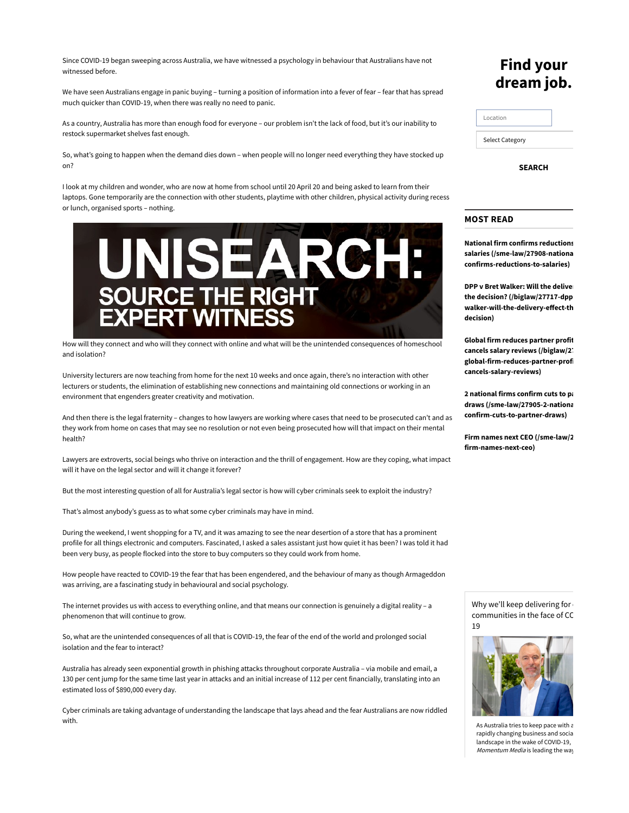Since COVID-19 began sweeping across Australia, we have witnessed a psychology in behaviour that Australians have not witnessed before.

We have seen Australians engage in panic buying – turning a position of information into a fever of fear – fear that has spread much quicker than COVID-19, when there was really no need to panic.

As a country, Australia has more than enough food for everyone – our problem isn't the lack of food, but it's our inability to restock supermarket shelves fast enough.

So, what's going to happen when the demand dies down – when people will no longer need everything they have stocked up on?

I look at my children and wonder, who are now at home from school until 20 April 20 and being asked to learn from their laptops. Gone temporarily are the connection with other students, playtime with other children, physical activity during recess or lunch, organised sports – nothing.



How will they connect and who will they connect with online and what will be the unintended consequences of homeschool and isolation?

University lecturers are now teaching from home for the next 10 weeks and once again, there's no interaction with other lecturers or students, the elimination of establishing new connections and maintaining old connections or working in an environment that engenders greater creativity and motivation.

And then there is the legal fraternity – changes to how lawyers are working where cases that need to be prosecuted can't and as they work from home on cases that may see no resolution or not even being prosecuted how will that impact on their mental health?

Lawyers are extroverts, social beings who thrive on interaction and the thrill of engagement. How are they coping, what impact will it have on the legal sector and will it change it forever?

But the most interesting question of all for Australia's legal sector is how will cyber criminals seek to exploit the industry?

That's almost anybody's guess as to what some cyber criminals may have in mind.

During the weekend, I went shopping for a TV, and it was amazing to see the near desertion of a store that has a prominent profile for all things electronic and computers. Fascinated, I asked a sales assistant just how quiet it has been? I was told it had been very busy, as people flocked into the store to buy computers so they could work from home.

How people have reacted to COVID-19 the fear that has been engendered, and the behaviour of many as though Armageddon was arriving, are a fascinating study in behavioural and social psychology.

The internet provides us with access to everything online, and that means our connection is genuinely a digital reality – a phenomenon that will continue to grow.

So, what are the unintended consequences of all that is COVID-19, the fear of the end of the world and prolonged social isolation and the fear to interact?

Australia has already seen exponential growth in phishing attacks throughout corporate Australia – via mobile and email, a 130 per cent jump for the same time last year in attacks and an initial increase of 112 per cent financially, translating into an estimated loss of \$890,000 every day.

Cyber criminals are taking advantage of understanding the landscape that lays ahead and the fear Australians are now riddled with.

## Find your dream job.

| Location               |  |
|------------------------|--|
| <b>Select Category</b> |  |

SEARCH

## MOST READ

**National firm confirms reductions** salaries (/sme-law/27908-national confirms-reductions-to-salaries)

DPP v Bret Walker: Will the deliver the decision? (/biglaw/27717-dpp walker-will-the-delivery-effect-th decision)

Global firm reduces partner profit cancels salary reviews (/biglaw/2<sup>-</sup> global-firm-reduces-partner-profi cancels-salary-reviews)

2 national firms confirm cuts to pa draws (/sme-law/27905-2-national confirm-cuts-to-partner-draws)

Firm names next CEO (/sme-law/2 firm-names-next-ceo)

Why we'll keep delivering for communities in the face of CC 19



As Australia tries to keep pace with a rapidly changing business and social landscape in the wake of COVID-19, Momentum Media is leading the way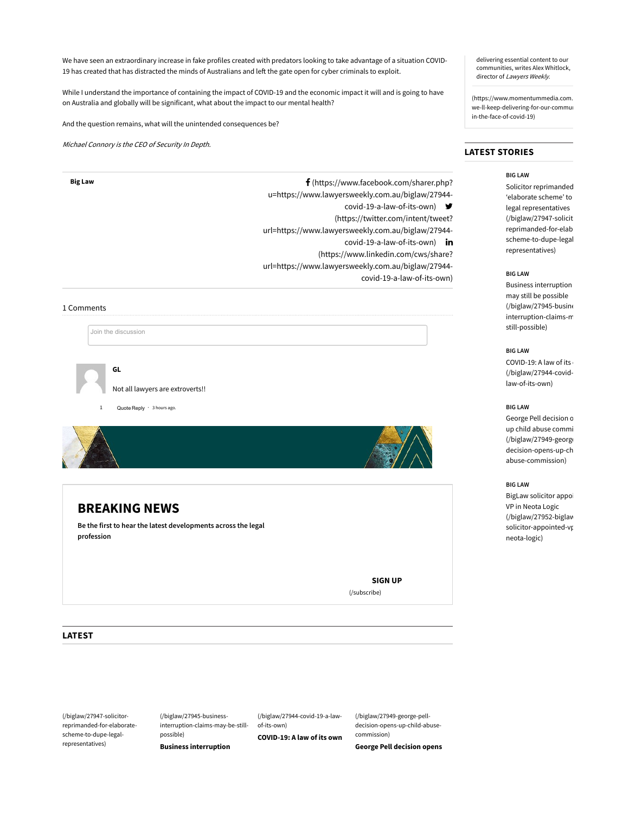We have seen an extraordinary increase in fake profiles created with predators looking to take advantage of a situation COVID-19 has created that has distracted the minds of Australians and left the gate open for cyber criminals to exploit.

While I understand the importance of containing the impact of COVID-19 and the economic impact it will and is going to have on Australia and globally will be significant, what about the impact to our mental health?

And the question remains, what will the unintended consequences be?

Michael Connory is the CEO of Security In Depth.

Big Law **F** (https://www.facebook.com/sharer.php? u=https://www.lawyersweekly.com.au/biglaw/27944 covid-19-a-law-of-its-own) (https://twitter.com/intent/tweet? url=https://www.lawyersweekly.com.au/biglaw/27944 covid-19-a-law-of-its-own) in (https://www.linkedin.com/cws/share? url=https://www.lawyersweekly.com.au/biglaw/27944 covid-19-a-law-of-its-own)

#### 1 Comments

Join the discussion

GL



Not all lawyers are extroverts!!

Quote Reply  $\cdot$  3 hours ago.



## BREAKING NEWS

Be the first to hear the latest developments across the legal profession

(/subscribe)

delivering essential content to our communities, writes Alex Whitlock, director of Lawyers Weekly.

(https://www.momentummedia.com. we-ll-keep-delivering-for-our-commun in-the-face-of-covid-19)

## LATEST STORIES

### BIG LAW

Solicitor reprimanded 'elaborate scheme' to legal representatives (/biglaw/27947-solicit reprimanded-for-elab scheme-to-dupe-legalrepresentatives)

#### BIG LAW

**Business interruption** may still be possible  $(J$ biglaw/27945-busine interruption-claims-m still-possible)

### BIG LAW

COVID-19: A law of its (/biglaw/27944-covidlaw-of-its-own)

### BIG LAW

George Pell decision op up child abuse commi (/biglaw/27949-george decision-opens-up-ch abuse-commission)

#### BIG LAW

BigLaw solicitor appoi VP in Neota Logic (/biglaw/27952-biglawsolicitor-appointed-vp neota-logic)

SIGN UP

LATEST

(/biglaw/27947-solicitorreprimanded-for-elaboratescheme-to-dupe-legalrepresentatives)

(/biglaw/27945-businessinterruption-claims-may-be-stillpossible) Business interruption

(/biglaw/27944-covid-19-a-lawof-its-own) COVID-19: A law of its own (/biglaw/27949-george-pelldecision-opens-up-child-abusecommission) George Pell decision opens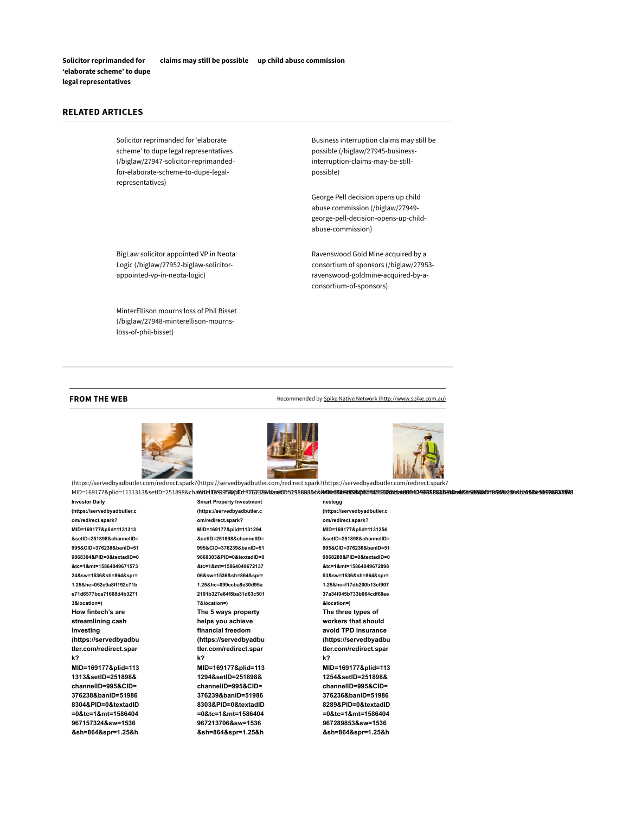Solicitor reprimanded for 'elaborate scheme' to dupe legal representatives claims may still be possible up child abuse commission

## RELATED ARTICLES

Solicitor reprimanded for 'elaborate scheme' to dupe legal representatives (/biglaw/27947-solicitor-reprimandedfor-elaborate-scheme-to-dupe-legalrepresentatives)

BigLaw solicitor appointed VP in Neota Logic (/biglaw/27952-biglaw-solicitorappointed-vp-in-neota-logic)

MinterEllison mourns loss of Phil Bisset (/biglaw/27948-minterellison-mournsloss-of-phil-bisset)

Business interruption claims may still be possible (/biglaw/27945-businessinterruption-claims-may-be-stillpossible)

George Pell decision opens up child abuse commission (/biglaw/27949 george-pell-decision-opens-up-childabuse-commission)

Ravenswood Gold Mine acquired by a consortium of sponsors (/biglaw/27953 ravenswood-goldmine-acquired-by-aconsortium-of-sponsors)

#### FROM THE WEB **RECOM ACCOMMENT ASSESS** Recommended by Spike Native Network (http://www.spike.com.au)







(https://servedbyadbutler.com/redirect.spark? (https://servedbyadbutler.com/redirect.spark? (https://servedbyadbutler.com/redirect.spark? MID=169177&plid=1131313&setID=251898&chaWiD#UB9995%QlDd=37632884&av0D5398888&&&**RIDB#UA**995%@**QB%AC%REA%48B040498BB&B&BAC%AB%AC%AB%AC%AB%AC%88&\$04985B28ff&**8

Investor Daily (https://servedbyadbutler.c om/redirect.spark? MID=169177&plid=1131313 &setID=251898&channelID= 995&CID=376238&banID=51 9868304&PID=0&textadID=0 &tc=1&mt=15864049671573 24&sw=1536&sh=864&spr= 1.25&hc=052c9a8ff192c71b e71d6577bca71608d4b3271 3&location=) How fintech's are streamlining cash investing (https://servedbyadbu tler.com/redirect.spar k? MID=169177&plid=113 1313&setID=251898& channelID=995&CID= 376238&banID=51986 8304&PID=0&textadID =0&tc=1&mt=1586404 967157324&sw=1536

&sh=864&spr=1.25&h

Smart Property Investment (https://servedbyadbutler.c om/redirect.spark? MID=169177&plid=1131294 &setID=251898&channelID= 995&CID=376239&banID=51 9868303&PID=0&textadID=0 &tc=1&mt=15864049672137 06&sw=1536&sh=864&spr= 1.25&hc=099eeba9e30d95a 2191b327e84f8ba31d63c501 7&location=) The 5 ways property helps you achieve financial freedom (https://servedbyadbu tler.com/redirect.spar k? MID=169177&plid=113 1294&setID=251898& channelID=995&CID= 376239&banID=51986 8303&PID=0&textadID =0&tc=1&mt=1586404 967213706&sw=1536

&sh=864&spr=1.25&h

nestegg (https://servedbyadbutler.c om/redirect.spark? MID=169177&plid=1131254 &setID=251898&channelID= 995&CID=376236&banID=51 9868289&PID=0&textadID=0 &tc=1&mt=15864049672898 53&sw=1536&sh=864&spr= 1.25&hc=f17db200b13cf907 37a34f045b733b064cdf68ee &location=) The three types of workers that should avoid TPD insurance (https://servedbyadbu tler.com/redirect.spar k? MID=169177&plid=113 1254&setID=251898& channelID=995&CID= 376236&banID=51986 8289&PID=0&textadID =0&tc=1&mt=1586404 967289853&sw=1536 &sh=864&spr=1.25&h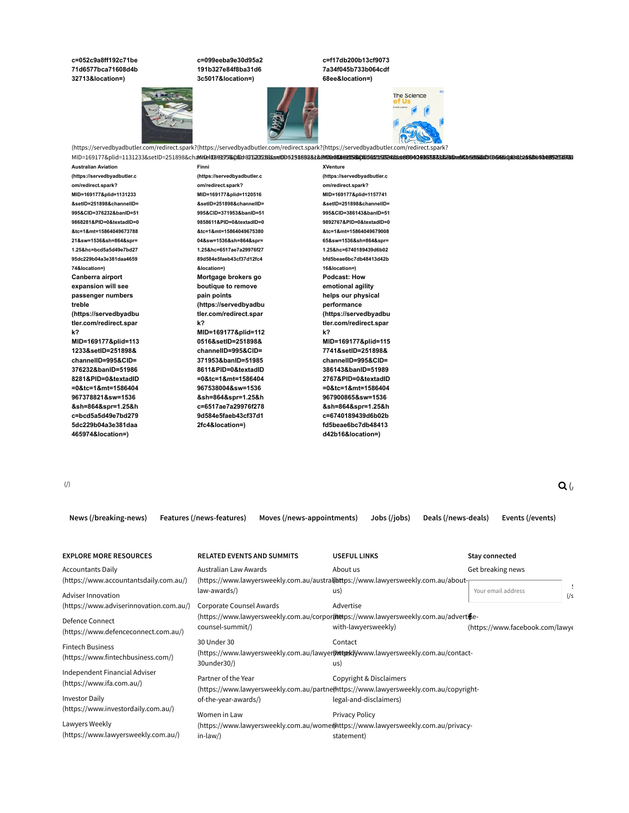#### c=052c9a8ff192c71be c=099eeba9e30d95a2 c=f17db200b13cf9073 71d6577bca71608d4b 191b327e84f8ba31d6 7a34f045b733b064cdf 32713&location=) 3c5017&location=) 68ee&location=) The Science

(https://servedbyadbutler.com/redirect.spark? (https://servedbyadbutler.com/redirect.spark? (https://servedbyadbutler.com/redirect.spark? MID=169177&plid=1131233&setID=251898&channelID=995&CID=376232&banID=519868281&PID=0&textadID=0&tc=1&mt=1586404967378821&sw=1536&sh=864&spr=1.25&hc=bcd5a5d49e7bd2795dc229b04a3e381daa465974&location=) MID=169177&plid=1120516&setID=251898&channelID=995&CID=371953&banID=519858611&PID=0&textadID=0&tc=1&mt=1586404967538004&sw=1536&sh=864&spr=1.25&hc=6517ae7a29976f2789d584e5faeb43cf37d12fc4&location=) MID=169177&plid=1157741&setID=251898&channelID=995&CID=386143&banID=519892767&PID=0&textadID=0&tc=1&mt=1586404967900865&sw=1536&sh=864&spr=1.25&hc=6740189439d6b02bfd5beae6bc7db48413d42b16&location=)

XVenture

Australian Aviation (https://servedbyadbutler.c om/redirect.spark? MID=169177&plid=1131233 &setID=251898&channelID= 995&CID=376232&banID=51 9868281&PID=0&textadID=0 &tc=1&mt=15864049673788 21&sw=1536&sh=864&spr= 1.25&hc=bcd5a5d49e7bd27 95dc229b04a3e381daa4659 74&location=) Canberra airport expansion will see passenger numbers treble (https://servedbyadbu tler.com/redirect.spar k? MID=169177&plid=113 1233&setID=251898& channelID=995&CID= 376232&banID=51986 8281&PID=0&textadID =0&tc=1&mt=1586404 967378821&sw=1536

&sh=864&spr=1.25&h c=bcd5a5d49e7bd279 5dc229b04a3e381daa 465974&location=)

Finni (https://servedbyadbutler.c om/redirect.spark? MID=169177&plid=1120516 &setID=251898&channelID= 995&CID=371953&banID=51 9858611&PID=0&textadID=0 &tc=1&mt=15864049675380 04&sw=1536&sh=864&spr= 1.25&hc=6517ae7a29976f27 89d584e5faeb43cf37d12fc4 &location=) Mortgage brokers go boutique to remove pain points (https://servedbyadbu tler.com/redirect.spar k? MID=169177&plid=112 0516&setID=251898& channelID=995&CID= 371953&banID=51985 8611&PID=0&textadID =0&tc=1&mt=1586404

967538004&sw=1536 &sh=864&spr=1.25&h c=6517ae7a29976f278 9d584e5faeb43cf37d1 2fc4&location=)

(https://servedbyadbutler.c om/redirect.spark? MID=169177&plid=1157741 &setID=251898&channelID= 995&CID=386143&banID=51 9892767&PID=0&textadID=0 &tc=1&mt=15864049679008 65&sw=1536&sh=864&spr= 1.25&hc=6740189439d6b02 bfd5beae6bc7db48413d42b 16&location=) Podcast: How emotional agility helps our physical performance (https://servedbyadbu tler.com/redirect.spar k? MID=169177&plid=115 7741&setID=251898& channelID=995&CID= 386143&banID=51989 2767&PID=0&textadID =0&tc=1&mt=1586404 967900865&sw=1536 &sh=864&spr=1.25&h c=6740189439d6b02b fd5beae6bc7db48413 d42b16&location=)

 $\mathbf{Q}$  (*i*) and (*see eq. (i)* and (*see eq. (i)* and (*see eq. (i)* and (*see eq. (i)* and (*see eq. (i)* and (*see eq. (i)* and (*see eq. (i)* and (*see eq. (i)* and (*see eq. (i)* and (*see eq. (i)* and (*see eq. (i* 

| <b>EXPLORE MORE RESOURCES</b>                              | <b>RELATED EVENTS AND SUMMITS</b>                                                    | <b>USEFUL LINKS</b>                                                                                             | Stay connected                  |  |  |  |  |  |  |
|------------------------------------------------------------|--------------------------------------------------------------------------------------|-----------------------------------------------------------------------------------------------------------------|---------------------------------|--|--|--|--|--|--|
| <b>Accountants Daily</b>                                   | Australian Law Awards                                                                | About us                                                                                                        | Get breaking news               |  |  |  |  |  |  |
| (https://www.accountantsdaily.com.au/)                     |                                                                                      | (https://www.lawyersweekly.com.au/austral(lattps://www.lawyersweekly.com.au/about-                              |                                 |  |  |  |  |  |  |
| Adviser Innovation                                         | law-awards/)                                                                         | us)                                                                                                             | Your email address<br>$(y_s$    |  |  |  |  |  |  |
| (https://www.adviserinnovation.com.au/)                    | Corporate Counsel Awards                                                             | Advertise                                                                                                       |                                 |  |  |  |  |  |  |
| <b>Defence Connect</b>                                     | (https://www.lawyersweekly.com.au/corporthetps://www.lawyersweekly.com.au/advertife- |                                                                                                                 |                                 |  |  |  |  |  |  |
| (https://www.defenceconnect.com.au/)                       | counsel-summit/)                                                                     | with-lawyersweekly)                                                                                             | (https://www.facebook.com/lawye |  |  |  |  |  |  |
| <b>Fintech Business</b>                                    | 30 Under 30                                                                          | Contact                                                                                                         |                                 |  |  |  |  |  |  |
| (https://www.fintechbusiness.com/)                         | (https://www.lawyersweekly.com.au/lawyertwtexklywww.lawyersweekly.com.au/contact-    |                                                                                                                 |                                 |  |  |  |  |  |  |
|                                                            | 30under30/)                                                                          | us)                                                                                                             |                                 |  |  |  |  |  |  |
| Independent Financial Adviser<br>(https://www.ifa.com.au/) | Partner of the Year                                                                  | Copyright & Disclaimers<br>(https://www.lawyersweekly.com.au/partne(https://www.lawyersweekly.com.au/copyright- |                                 |  |  |  |  |  |  |
| <b>Investor Daily</b>                                      | of-the-year-awards/)                                                                 | legal-and-disclaimers)                                                                                          |                                 |  |  |  |  |  |  |
| (https://www.investordaily.com.au/)                        | Women in Law                                                                         | Privacy Policy                                                                                                  |                                 |  |  |  |  |  |  |
| Lawyers Weekly                                             | (https://www.lawyersweekly.com.au/womer/https://www.lawyersweekly.com.au/privacy-    |                                                                                                                 |                                 |  |  |  |  |  |  |
| (https://www.lawyersweekly.com.au/)                        | $in-law$ )<br>statement)                                                             |                                                                                                                 |                                 |  |  |  |  |  |  |

News (/breaking-news) Features (/news-features) Moves (/news-appointments) Jobs (/jobs) Deals (/news-deals) Events (/events)